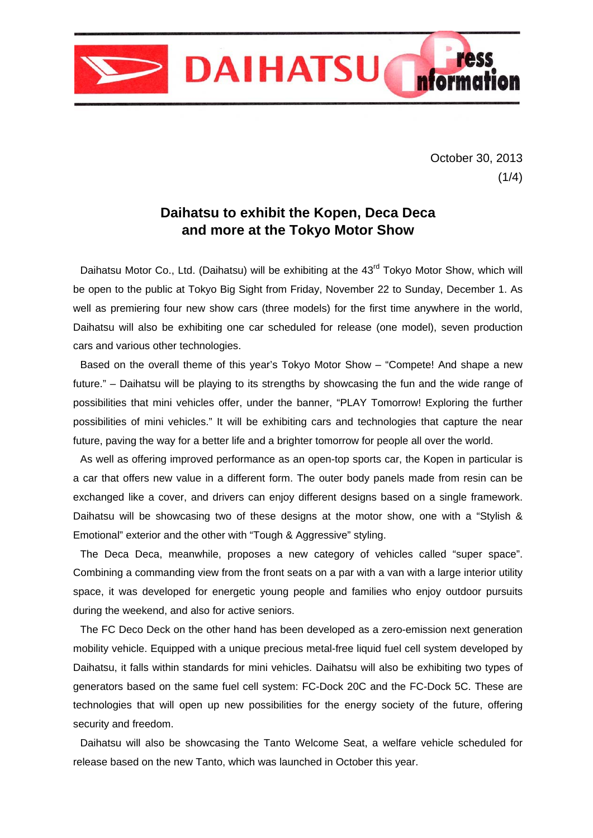

October 30, 2013  $(1/4)$ 

# **Daihatsu to exhibit the Kopen, Deca Deca and more at the Tokyo Motor Show**

Daihatsu Motor Co., Ltd. (Daihatsu) will be exhibiting at the 43<sup>rd</sup> Tokyo Motor Show, which will be open to the public at Tokyo Big Sight from Friday, November 22 to Sunday, December 1. As well as premiering four new show cars (three models) for the first time anywhere in the world, Daihatsu will also be exhibiting one car scheduled for release (one model), seven production cars and various other technologies.

Based on the overall theme of this year's Tokyo Motor Show – "Compete! And shape a new future." – Daihatsu will be playing to its strengths by showcasing the fun and the wide range of possibilities that mini vehicles offer, under the banner, "PLAY Tomorrow! Exploring the further possibilities of mini vehicles." It will be exhibiting cars and technologies that capture the near future, paving the way for a better life and a brighter tomorrow for people all over the world.

As well as offering improved performance as an open-top sports car, the Kopen in particular is a car that offers new value in a different form. The outer body panels made from resin can be exchanged like a cover, and drivers can enjoy different designs based on a single framework. Daihatsu will be showcasing two of these designs at the motor show, one with a "Stylish & Emotional" exterior and the other with "Tough & Aggressive" styling.

The Deca Deca, meanwhile, proposes a new category of vehicles called "super space". Combining a commanding view from the front seats on a par with a van with a large interior utility space, it was developed for energetic young people and families who enjoy outdoor pursuits during the weekend, and also for active seniors.

The FC Deco Deck on the other hand has been developed as a zero-emission next generation mobility vehicle. Equipped with a unique precious metal-free liquid fuel cell system developed by Daihatsu, it falls within standards for mini vehicles. Daihatsu will also be exhibiting two types of generators based on the same fuel cell system: FC-Dock 20C and the FC-Dock 5C. These are technologies that will open up new possibilities for the energy society of the future, offering security and freedom.

Daihatsu will also be showcasing the Tanto Welcome Seat, a welfare vehicle scheduled for release based on the new Tanto, which was launched in October this year.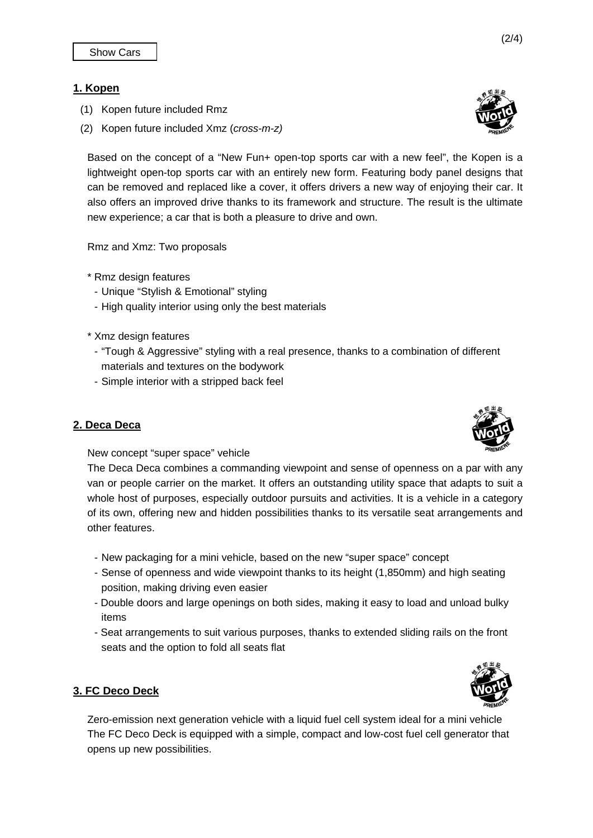## **1. Kopen**

- (1) Kopen future included Rmz
- (2) Kopen future included Xmz (*cross-m-z)*

Based on the concept of a "New Fun+ open-top sports car with a new feel", the Kopen is a lightweight open-top sports car with an entirely new form. Featuring body panel designs that can be removed and replaced like a cover, it offers drivers a new way of enjoying their car. It also offers an improved drive thanks to its framework and structure. The result is the ultimate new experience; a car that is both a pleasure to drive and own.

Rmz and Xmz: Two proposals

- \* Rmz design features
- Unique "Stylish & Emotional" styling
- High quality interior using only the best materials
- \* Xmz design features
- "Tough & Aggressive" styling with a real presence, thanks to a combination of different materials and textures on the bodywork
- Simple interior with a stripped back feel

#### **2. Deca Deca**

New concept "super space" vehicle

The Deca Deca combines a commanding viewpoint and sense of openness on a par with any van or people carrier on the market. It offers an outstanding utility space that adapts to suit a whole host of purposes, especially outdoor pursuits and activities. It is a vehicle in a category of its own, offering new and hidden possibilities thanks to its versatile seat arrangements and other features.

- New packaging for a mini vehicle, based on the new "super space" concept
- Sense of openness and wide viewpoint thanks to its height (1,850mm) and high seating position, making driving even easier
- Double doors and large openings on both sides, making it easy to load and unload bulky items
- Seat arrangements to suit various purposes, thanks to extended sliding rails on the front seats and the option to fold all seats flat

#### **3. FC Deco Deck**

Zero-emission next generation vehicle with a liquid fuel cell system ideal for a mini vehicle The FC Deco Deck is equipped with a simple, compact and low-cost fuel cell generator that opens up new possibilities.





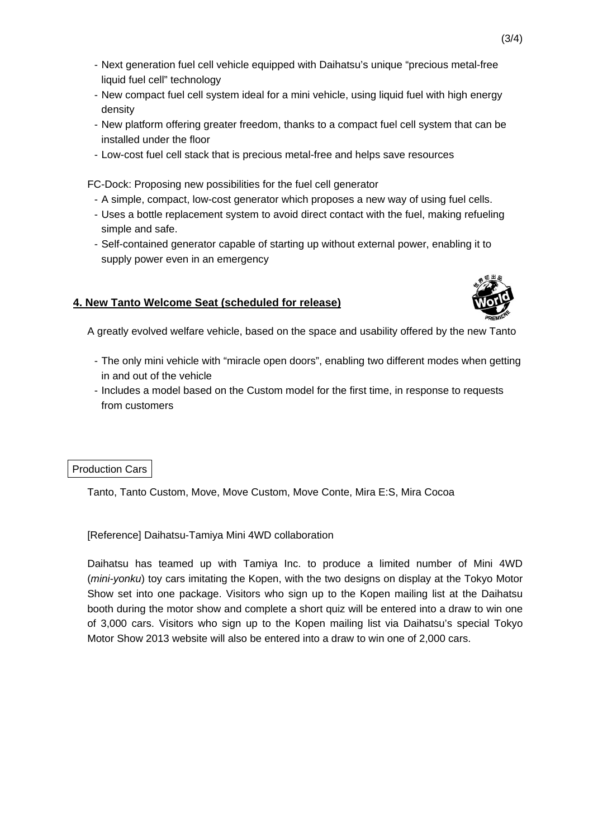- Next generation fuel cell vehicle equipped with Daihatsu's unique "precious metal-free liquid fuel cell" technology
- New compact fuel cell system ideal for a mini vehicle, using liquid fuel with high energy density
- New platform offering greater freedom, thanks to a compact fuel cell system that can be installed under the floor
- Low-cost fuel cell stack that is precious metal-free and helps save resources

FC-Dock: Proposing new possibilities for the fuel cell generator

- A simple, compact, low-cost generator which proposes a new way of using fuel cells.
- Uses a bottle replacement system to avoid direct contact with the fuel, making refueling simple and safe.
- Self-contained generator capable of starting up without external power, enabling it to supply power even in an emergency

## **4. New Tanto Welcome Seat (scheduled for release)**



A greatly evolved welfare vehicle, based on the space and usability offered by the new Tanto

- The only mini vehicle with "miracle open doors", enabling two different modes when getting in and out of the vehicle
- Includes a model based on the Custom model for the first time, in response to requests from customers

#### Production Cars

Tanto, Tanto Custom, Move, Move Custom, Move Conte, Mira E:S, Mira Cocoa

[Reference] Daihatsu-Tamiya Mini 4WD collaboration

Daihatsu has teamed up with Tamiya Inc. to produce a limited number of Mini 4WD (*mini-yonku*) toy cars imitating the Kopen, with the two designs on display at the Tokyo Motor Show set into one package. Visitors who sign up to the Kopen mailing list at the Daihatsu booth during the motor show and complete a short quiz will be entered into a draw to win one of 3,000 cars. Visitors who sign up to the Kopen mailing list via Daihatsu's special Tokyo Motor Show 2013 website will also be entered into a draw to win one of 2,000 cars.